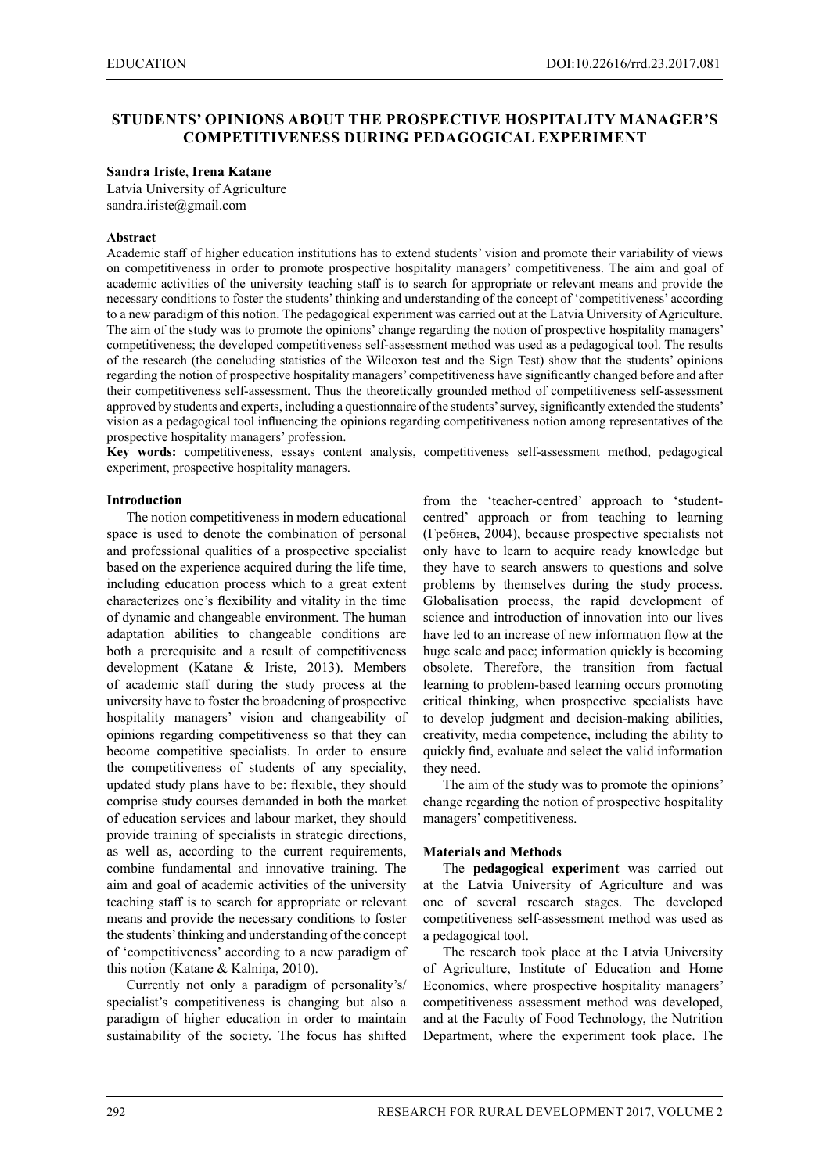# **STUDENTS' OPINIONS ABOUT THE PROSPECTIVE HOSPITALITY MANAGER'S COMPETITIVENESS DURING PEDAGOGICAL EXPERIMENT**

#### **Sandra Iriste**, **Irena Katane**

Latvia University of Agriculture sandra.iriste@gmail.com

#### **Abstract**

Academic staff of higher education institutions has to extend students' vision and promote their variability of views on competitiveness in order to promote prospective hospitality managers' competitiveness. The aim and goal of academic activities of the university teaching staff is to search for appropriate or relevant means and provide the necessary conditions to foster the students' thinking and understanding of the concept of 'competitiveness' according to a new paradigm of this notion. The pedagogical experiment was carried out at the Latvia University of Agriculture. The aim of the study was to promote the opinions' change regarding the notion of prospective hospitality managers' competitiveness; the developed competitiveness self-assessment method was used as a pedagogical tool. The results of the research (the concluding statistics of the Wilcoxon test and the Sign Test) show that the students' opinions regarding the notion of prospective hospitality managers' competitiveness have significantly changed before and after their competitiveness self-assessment. Thus the theoretically grounded method of competitiveness self-assessment approved by students and experts, including a questionnaire of the students' survey, significantly extended the students' vision as a pedagogical tool influencing the opinions regarding competitiveness notion among representatives of the prospective hospitality managers' profession.

**Key words:** competitiveness, essays content analysis, competitiveness self-assessment method, pedagogical experiment, prospective hospitality managers.

### **Introduction**

The notion competitiveness in modern educational space is used to denote the combination of personal and professional qualities of a prospective specialist based on the experience acquired during the life time, including education process which to a great extent characterizes one's flexibility and vitality in the time of dynamic and changeable environment. The human adaptation abilities to changeable conditions are both a prerequisite and a result of competitiveness development (Katane & Iriste, 2013). Members of academic staff during the study process at the university have to foster the broadening of prospective hospitality managers' vision and changeability of opinions regarding competitiveness so that they can become competitive specialists. In order to ensure the competitiveness of students of any speciality, updated study plans have to be: flexible, they should comprise study courses demanded in both the market of education services and labour market, they should provide training of specialists in strategic directions, as well as, according to the current requirements, combine fundamental and innovative training. The aim and goal of academic activities of the university teaching staff is to search for appropriate or relevant means and provide the necessary conditions to foster the students' thinking and understanding of the concept of 'competitiveness' according to a new paradigm of this notion (Katane & Kalniņa, 2010).

Currently not only a paradigm of personality's/ specialist's competitiveness is changing but also a paradigm of higher education in order to maintain sustainability of the society. The focus has shifted

from the 'teacher-centred' approach to 'studentcentred' approach or from teaching to learning (Гребнев, 2004), because prospective specialists not only have to learn to acquire ready knowledge but they have to search answers to questions and solve problems by themselves during the study process. Globalisation process, the rapid development of science and introduction of innovation into our lives have led to an increase of new information flow at the huge scale and pace; information quickly is becoming obsolete. Therefore, the transition from factual learning to problem-based learning occurs promoting critical thinking, when prospective specialists have to develop judgment and decision-making abilities, creativity, media competence, including the ability to quickly find, evaluate and select the valid information they need.

The aim of the study was to promote the opinions' change regarding the notion of prospective hospitality managers' competitiveness.

#### **Materials and Methods**

The **pedagogical experiment** was carried out at the Latvia University of Agriculture and was one of several research stages. The developed competitiveness self-assessment method was used as a pedagogical tool.

The research took place at the Latvia University of Agriculture, Institute of Education and Home Economics, where prospective hospitality managers' competitiveness assessment method was developed, and at the Faculty of Food Technology, the Nutrition Department, where the experiment took place. The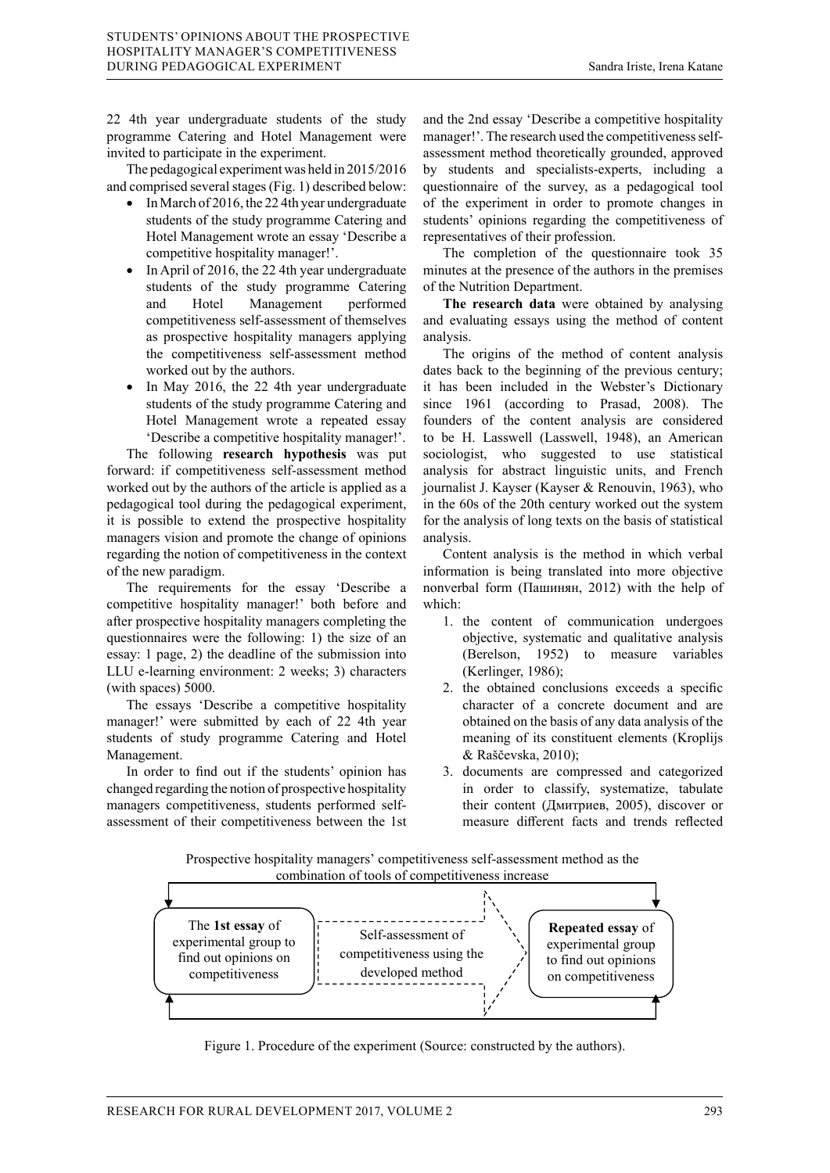22 4th year undergraduate students of the study programme Catering and Hotel Management were invited to participate in the experiment.

The pedagogical experiment was held in 2015/2016 and comprised several stages (Fig. 1) described below:

- In March of 2016, the 224th year undergraduate students of the study programme Catering and Hotel Management wrote an essay 'Describe a competitive hospitality manager!'.
- In April of 2016, the 22 4th year undergraduate students of the study programme Catering and Hotel Management performed competitiveness self-assessment of themselves as prospective hospitality managers applying the competitiveness self-assessment method worked out by the authors.
- In May 2016, the 22 4th year undergraduate students of the study programme Catering and Hotel Management wrote a repeated essay 'Describe a competitive hospitality manager!'.

The following **research hypothesis** was put forward: if competitiveness self-assessment method worked out by the authors of the article is applied as a pedagogical tool during the pedagogical experiment, it is possible to extend the prospective hospitality managers vision and promote the change of opinions regarding the notion of competitiveness in the context of the new paradigm.

The requirements for the essay 'Describe a competitive hospitality manager!' both before and empentive inseptintly managers completing the after prospective hospitality managers completing the questionnaires were the following: 1) the size of an essay: 1 page, 2) the deadline of the submission into LLU e-learning environment: 2 weeks; 3) characters (with spaces) 5000.

The essays 'Describe a competitive hospitality manager!' were submitted by each of 22 4th year Indiager: were subfinited by each of  $22$  4th year up tobtained on the basis of any data analysis of the students of study programme Catering and Hotel meaning of its constituent elements (Kroplijs Management.  $\mu$  study programme eatering and froter  $\mu$  incannig of its construction

In order to find out if the students' opinion has changed regarding the notion of prospective hospitality in order to classify, systematize, managers competitiveness, students performed self-<br>
In their content (Дмитриев, 2005), discover or assessment of their competitiveness between the 1st measure different facts and

and the 2nd essay 'Describe a competitive hospitality manager!'. The research used the competitiveness selfassessment method theoretically grounded, approved by students and specialists-experts, including a questionnaire of the survey, as a pedagogical tool of the experiment in order to promote changes in students' opinions regarding the competitiveness of representatives of their profession.

The completion of the questionnaire took 35 minutes at the presence of the authors in the premises of the Nutrition Department.

**The research data** were obtained by analysing and evaluating essays using the method of content analysis.

The origins of the method of content analysis dates back to the beginning of the previous century; it has been included in the Webster's Dictionary since 1961 (according to Prasad, 2008). The founders of the content analysis are considered to be H. Lasswell (Lasswell, 1948), an American sociologist, who suggested to use statistical analysis for abstract linguistic units, and French journalist J. Kayser (Kayser & Renouvin, 1963), who in the 60s of the 20th century worked out the system for the analysis of long texts on the basis of statistical analysis.

Content analysis is the method in which verbal information is being translated into more objective nonverbal form (Пашинян, 2012) with the help of which:

- 1. the content of communication undergoes objective, systematic and qualitative analysis (Berelson, 1952) to measure variables (Kerlinger, 1986);
- 2. the obtained conclusions exceeds a specific character of a concrete document and are Exalgogical Exercise a competitive hospitality<br>
The pedagogical experiment was held in 2015/2016 and concrete document and are<br>
The pedagogical experiment and are<br>  $\frac{1}{2}$  were submitted by each of 22 4th year<br>  $\frac{1}{2}$ meaning of its constituent elements (Kroplijs & Raščevska, 2010);
- status at the students' opinion has and categorized and categorized order to find out if the students' opinion has 3. documents are compressed and categorized in order to classify, systematize, tabulate their content (Дмитриев, 2005), discover or measure different facts and trends reflected  $\frac{1}{2}$  w min out true students opinion has  $\frac{1}{2}$ , documents are compressed and categorized

Prospective hospitality managers' competitiveness self-assessment method as the combination of tools of competitiveness increase



Figure 1. Procedure of the experiment (Source: constructed by the authors). Figure 1. Procedure of the experiment (Source: constructed by the authors).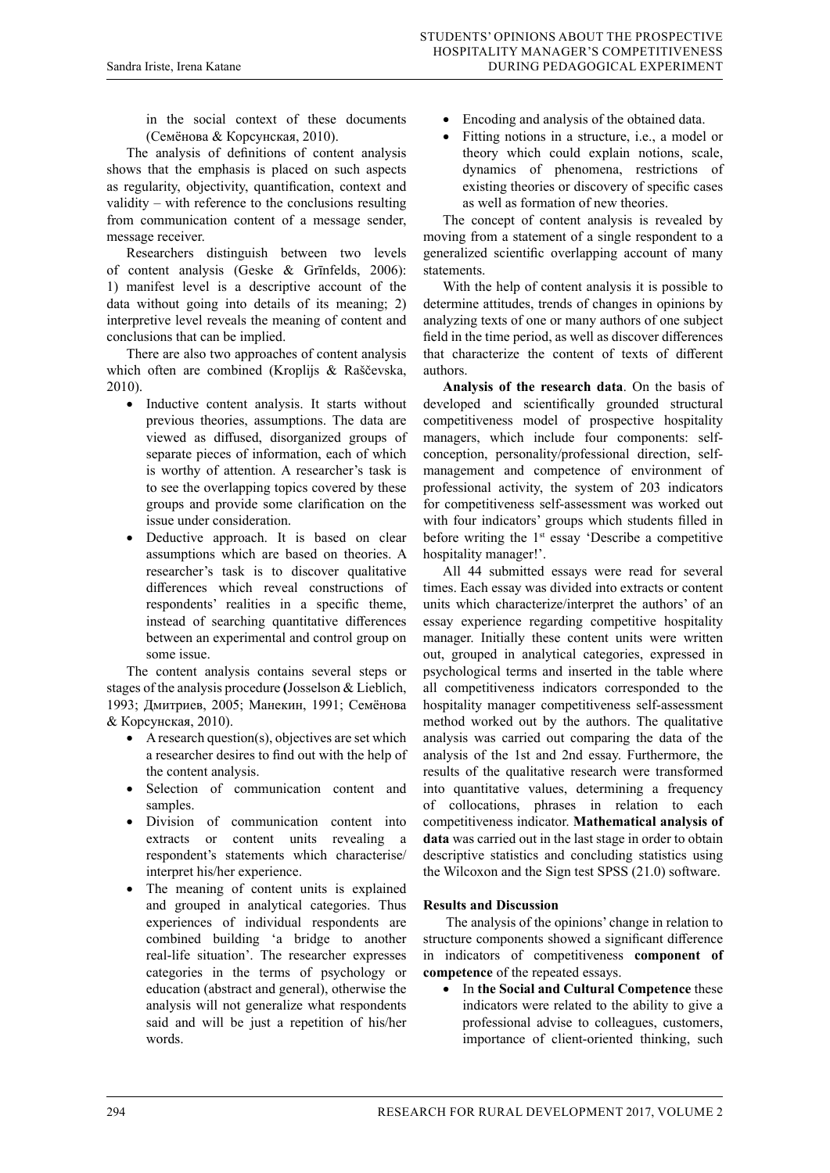in the social context of these documents (Семёнова & Корсунская, 2010).

The analysis of definitions of content analysis shows that the emphasis is placed on such aspects as regularity, objectivity, quantification, context and validity – with reference to the conclusions resulting from communication content of a message sender, message receiver.

Researchers distinguish between two levels of content analysis (Geske & Grīnfelds, 2006): 1) manifest level is a descriptive account of the data without going into details of its meaning; 2) interpretive level reveals the meaning of content and conclusions that can be implied.

There are also two approaches of content analysis which often are combined (Kroplijs & Raščevska, 2010).

- Inductive content analysis. It starts without previous theories, assumptions. The data are viewed as diffused, disorganized groups of separate pieces of information, each of which is worthy of attention. A researcher's task is to see the overlapping topics covered by these groups and provide some clarification on the issue under consideration.
- Deductive approach. It is based on clear assumptions which are based on theories. A researcher's task is to discover qualitative differences which reveal constructions of respondents' realities in a specific theme, instead of searching quantitative differences between an experimental and control group on some issue.

The content analysis contains several steps or stages of the analysis procedure **(**Josselson & Lieblich, 1993; Дмитриев, 2005; Манекин, 1991; Семёнова & Корсунская, 2010).

- $\bullet$  A research question(s), objectives are set which a researcher desires to find out with the help of the content analysis.
- • Selection of communication content and samples.
- Division of communication content into extracts or content units revealing a respondent's statements which characterise/ interpret his/her experience.
- The meaning of content units is explained and grouped in analytical categories. Thus experiences of individual respondents are combined building 'a bridge to another real-life situation'. The researcher expresses categories in the terms of psychology or education (abstract and general), otherwise the analysis will not generalize what respondents said and will be just a repetition of his/her words.
- Encoding and analysis of the obtained data.
- Fitting notions in a structure, i.e., a model or theory which could explain notions, scale, dynamics of phenomena, restrictions of existing theories or discovery of specific cases as well as formation of new theories.

The concept of content analysis is revealed by moving from a statement of a single respondent to a generalized scientific overlapping account of many statements.

With the help of content analysis it is possible to determine attitudes, trends of changes in opinions by analyzing texts of one or many authors of one subject field in the time period, as well as discover differences that characterize the content of texts of different authors.

**Analysis of the research data**. On the basis of developed and scientifically grounded structural competitiveness model of prospective hospitality managers, which include four components: selfconception, personality/professional direction, selfmanagement and competence of environment of professional activity, the system of 203 indicators for competitiveness self-assessment was worked out with four indicators' groups which students filled in before writing the  $1<sup>st</sup>$  essay 'Describe a competitive hospitality manager!'.

All 44 submitted essays were read for several times. Each essay was divided into extracts or content units which characterize/interpret the authors' of an essay experience regarding competitive hospitality manager. Initially these content units were written out, grouped in analytical categories, expressed in psychological terms and inserted in the table where all competitiveness indicators corresponded to the hospitality manager competitiveness self-assessment method worked out by the authors. The qualitative analysis was carried out comparing the data of the analysis of the 1st and 2nd essay. Furthermore, the results of the qualitative research were transformed into quantitative values, determining a frequency of collocations, phrases in relation to each competitiveness indicator. **Mathematical analysis of data** was carried out in the last stage in order to obtain descriptive statistics and concluding statistics using the Wilcoxon and the Sign test SPSS (21.0) software.

# **Results and Discussion**

 The analysis of the opinions' change in relation to structure components showed a significant difference in indicators of competitiveness **component of competence** of the repeated essays.

• In **the Social and Cultural Competence** these indicators were related to the ability to give a professional advise to colleagues, customers, importance of client-oriented thinking, such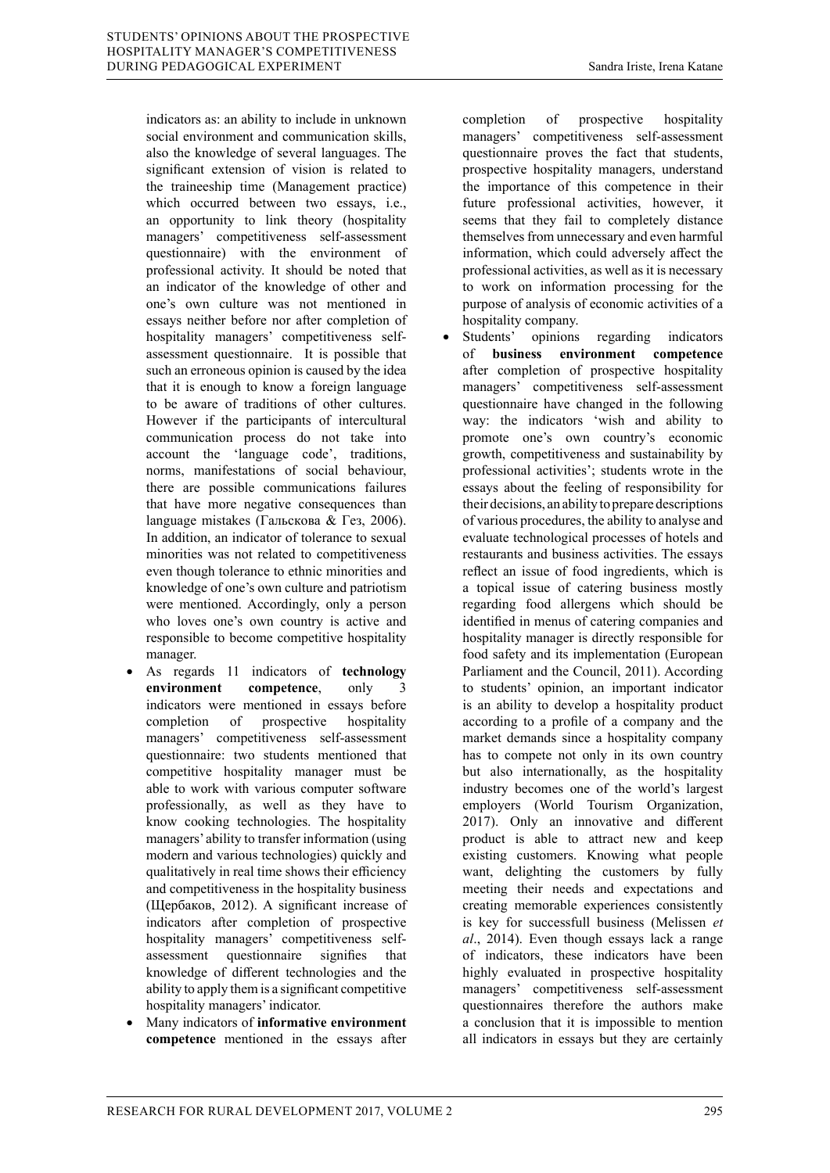indicators as: an ability to include in unknown social environment and communication skills, also the knowledge of several languages. The significant extension of vision is related to the traineeship time (Management practice) which occurred between two essays, i.e., an opportunity to link theory (hospitality managers' competitiveness self-assessment questionnaire) with the environment of professional activity. It should be noted that an indicator of the knowledge of other and one's own culture was not mentioned in essays neither before nor after completion of hospitality managers' competitiveness selfassessment questionnaire. It is possible that such an erroneous opinion is caused by the idea that it is enough to know a foreign language to be aware of traditions of other cultures.

However if the participants of intercultural communication process do not take into account the 'language code', traditions, norms, manifestations of social behaviour, there are possible communications failures that have more negative consequences than language mistakes (Гальскова & Гез, 2006). In addition, an indicator of tolerance to sexual minorities was not related to competitiveness even though tolerance to ethnic minorities and knowledge of one's own culture and patriotism were mentioned. Accordingly, only a person who loves one's own country is active and responsible to become competitive hospitality manager.

- As regards 11 indicators of **technology environment competence**, only indicators were mentioned in essays before completion of prospective hospitality managers' competitiveness self-assessment questionnaire: two students mentioned that competitive hospitality manager must be able to work with various computer software professionally, as well as they have to know cooking technologies. The hospitality managers' ability to transfer information (using modern and various technologies) quickly and qualitatively in real time shows their efficiency and competitiveness in the hospitality business (Щербаков, 2012). A significant increase of indicators after completion of prospective hospitality managers' competitiveness selfassessment questionnaire signifies that knowledge of different technologies and the ability to apply them is a significant competitive hospitality managers' indicator.
- Many indicators of **informative environment competence** mentioned in the essays after

completion of prospective hospitality managers' competitiveness self-assessment questionnaire proves the fact that students, prospective hospitality managers, understand the importance of this competence in their future professional activities, however, it seems that they fail to completely distance themselves from unnecessary and even harmful information, which could adversely affect the professional activities, as well as it is necessary to work on information processing for the purpose of analysis of economic activities of a hospitality company.

Students' opinions regarding indicators of **business environment competence** after completion of prospective hospitality managers' competitiveness self-assessment questionnaire have changed in the following way: the indicators 'wish and ability to promote one's own country's economic growth, competitiveness and sustainability by professional activities'; students wrote in the essays about the feeling of responsibility for their decisions, an ability to prepare descriptions of various procedures, the ability to analyse and evaluate technological processes of hotels and restaurants and business activities. The essays reflect an issue of food ingredients, which is a topical issue of catering business mostly regarding food allergens which should be identified in menus of catering companies and hospitality manager is directly responsible for food safety and its implementation (European Parliament and the Council, 2011). According to students' opinion, an important indicator is an ability to develop a hospitality product according to a profile of a company and the market demands since a hospitality company has to compete not only in its own country but also internationally, as the hospitality industry becomes one of the world's largest employers (World Tourism Organization, 2017). Only an innovative and different product is able to attract new and keep existing customers. Knowing what people want, delighting the customers by fully meeting their needs and expectations and creating memorable experiences consistently is key for successfull business (Melissen *et al*., 2014). Even though essays lack a range of indicators, these indicators have been highly evaluated in prospective hospitality managers' competitiveness self-assessment questionnaires therefore the authors make a conclusion that it is impossible to mention all indicators in essays but they are certainly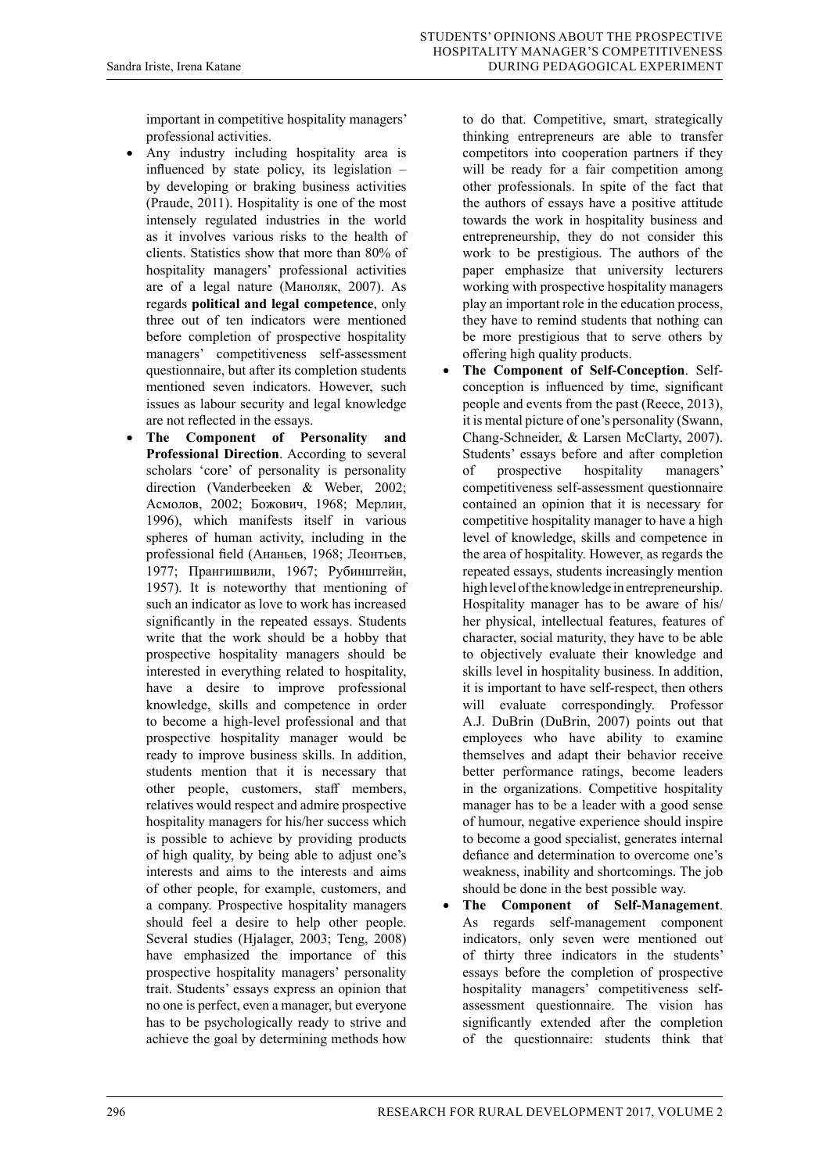important in competitive hospitality managers' professional activities.

- Any industry including hospitality area is influenced by state policy, its legislation – by developing or braking business activities (Praude, 2011). Hospitality is one of the most intensely regulated industries in the world as it involves various risks to the health of clients. Statistics show that more than 80% of hospitality managers' professional activities are of a legal nature (Маноляк, 2007). As regards **political and legal competence**, only three out of ten indicators were mentioned before completion of prospective hospitality managers' competitiveness self-assessment questionnaire, but after its completion students mentioned seven indicators. However, such issues as labour security and legal knowledge are not reflected in the essays.
- The Component of Personality and **Professional Direction**. According to several scholars 'core' of personality is personality direction (Vanderbeeken & Weber, 2002; Асмолов, 2002; Божович, 1968; Мерлин, 1996), which manifests itself in various spheres of human activity, including in the professional field (Ананьев, 1968; Леонтьев, 1977; Прангишвили, 1967; Рубинштейн, 1957). It is noteworthy that mentioning of such an indicator as love to work has increased significantly in the repeated essays. Students write that the work should be a hobby that prospective hospitality managers should be interested in everything related to hospitality, have a desire to improve professional knowledge, skills and competence in order to become a high-level professional and that prospective hospitality manager would be ready to improve business skills. In addition, students mention that it is necessary that other people, customers, staff members, relatives would respect and admire prospective hospitality managers for his/her success which is possible to achieve by providing products of high quality, by being able to adjust one's interests and aims to the interests and aims of other people, for example, customers, and a company. Prospective hospitality managers should feel a desire to help other people. Several studies (Hjalager, 2003; Teng, 2008) have emphasized the importance of this prospective hospitality managers' personality trait. Students' essays express an opinion that no one is perfect, even a manager, but everyone has to be psychologically ready to strive and achieve the goal by determining methods how

to do that. Competitive, smart, strategically thinking entrepreneurs are able to transfer competitors into cooperation partners if they will be ready for a fair competition among other professionals. In spite of the fact that the authors of essays have a positive attitude towards the work in hospitality business and entrepreneurship, they do not consider this work to be prestigious. The authors of the paper emphasize that university lecturers working with prospective hospitality managers play an important role in the education process, they have to remind students that nothing can be more prestigious that to serve others by offering high quality products.

- The Component of Self-Conception. Selfconception is influenced by time, significant people and events from the past (Reece, 2013), it is mental picture of one's personality (Swann, Chang-Schneider, & Larsen McClarty, 2007). Students' essays before and after completion of prospective hospitality managers' competitiveness self-assessment questionnaire contained an opinion that it is necessary for competitive hospitality manager to have a high level of knowledge, skills and competence in the area of hospitality. However, as regards the repeated essays, students increasingly mention high level of the knowledge in entrepreneurship. Hospitality manager has to be aware of his/ her physical, intellectual features, features of character, social maturity, they have to be able to objectively evaluate their knowledge and skills level in hospitality business. In addition, it is important to have self-respect, then others will evaluate correspondingly. Professor A.J. DuBrin (DuBrin, 2007) points out that employees who have ability to examine themselves and adapt their behavior receive better performance ratings, become leaders in the organizations. Competitive hospitality manager has to be a leader with a good sense of humour, negative experience should inspire to become a good specialist, generates internal defiance and determination to overcome one's weakness, inability and shortcomings. The job should be done in the best possible way.
- The Component of Self-Management. As regards self-management component indicators, only seven were mentioned out of thirty three indicators in the students' essays before the completion of prospective hospitality managers' competitiveness selfassessment questionnaire. The vision has significantly extended after the completion of the questionnaire: students think that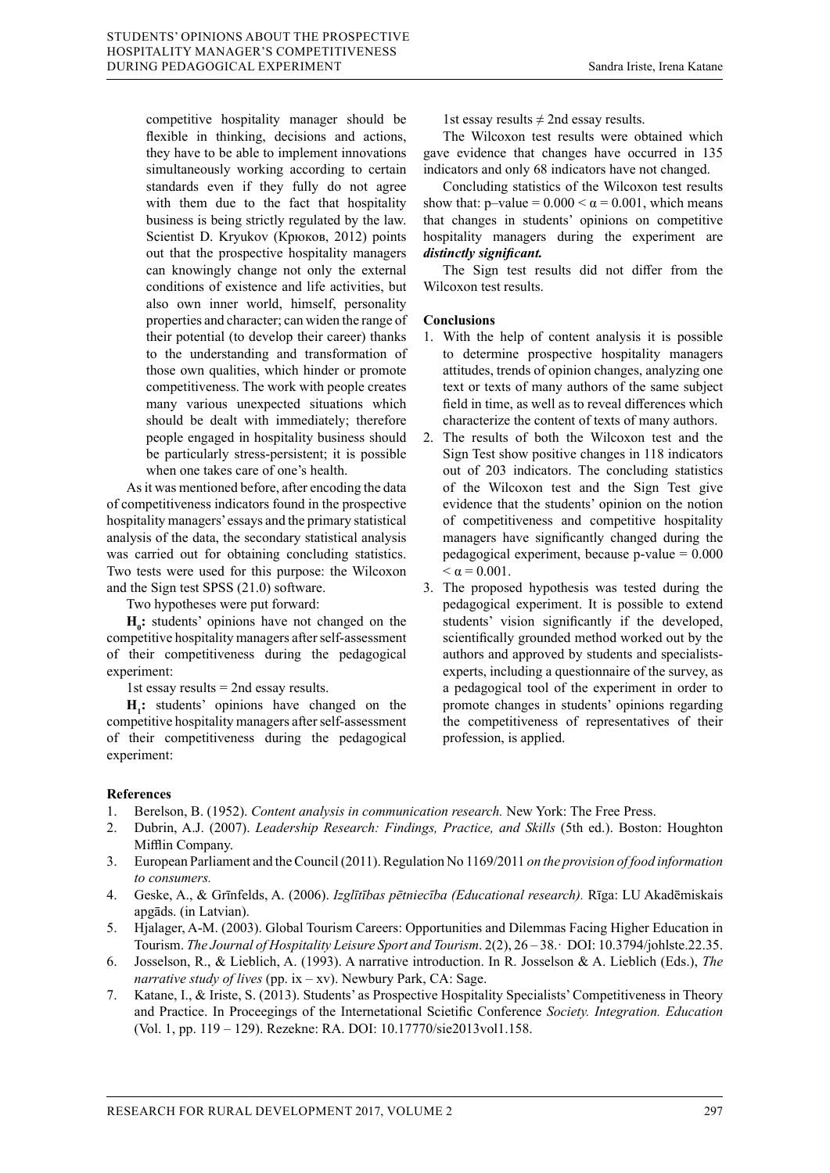competitive hospitality manager should be flexible in thinking, decisions and actions, they have to be able to implement innovations simultaneously working according to certain standards even if they fully do not agree with them due to the fact that hospitality business is being strictly regulated by the law. Scientist D. Kryukov (Крюков, 2012) points out that the prospective hospitality managers can knowingly change not only the external conditions of existence and life activities, but also own inner world, himself, personality properties and character; can widen the range of their potential (to develop their career) thanks to the understanding and transformation of those own qualities, which hinder or promote competitiveness. The work with people creates many various unexpected situations which should be dealt with immediately; therefore people engaged in hospitality business should be particularly stress-persistent; it is possible when one takes care of one's health.

As it was mentioned before, after encoding the data of competitiveness indicators found in the prospective hospitality managers' essays and the primary statistical analysis of the data, the secondary statistical analysis was carried out for obtaining concluding statistics. Two tests were used for this purpose: the Wilcoxon and the Sign test SPSS (21.0) software.

Two hypotheses were put forward:

 $H_0$ : students' opinions have not changed on the competitive hospitality managers after self-assessment of their competitiveness during the pedagogical experiment:

1st essay results = 2nd essay results.

**H1 :** students' opinions have changed on the competitive hospitality managers after self-assessment of their competitiveness during the pedagogical experiment:

1st essay results  $\neq 2$ nd essay results.

The Wilcoxon test results were obtained which gave evidence that changes have occurred in 135 indicators and only 68 indicators have not changed.

Concluding statistics of the Wilcoxon test results show that: p–value =  $0.000 < \alpha = 0.001$ , which means that changes in students' opinions on competitive hospitality managers during the experiment are *distinctly significant.* 

The Sign test results did not differ from the Wilcoxon test results.

# **Conclusions**

- 1. With the help of content analysis it is possible to determine prospective hospitality managers attitudes, trends of opinion changes, analyzing one text or texts of many authors of the same subject field in time, as well as to reveal differences which characterize the content of texts of many authors.
- 2. The results of both the Wilcoxon test and the Sign Test show positive changes in 118 indicators out of 203 indicators. The concluding statistics of the Wilcoxon test and the Sign Test give evidence that the students' opinion on the notion of competitiveness and competitive hospitality managers have significantly changed during the pedagogical experiment, because  $p$ -value =  $0.000$  $< \alpha = 0.001$ .
- 3. The proposed hypothesis was tested during the pedagogical experiment. It is possible to extend students' vision significantly if the developed, scientifically grounded method worked out by the authors and approved by students and specialistsexperts, including a questionnaire of the survey, as a pedagogical tool of the experiment in order to promote changes in students' opinions regarding the competitiveness of representatives of their profession, is applied.

### **References**

- 1. Berelson, B. (1952). *Content analysis in communication research.* New York: The Free Press.
- 2. Dubrin, A.J. (2007). *Leadership Research: Findings, Practice, and Skills* (5th ed.). Boston: Houghton Mifflin Company.
- 3. European Parliament and the Council (2011). Regulation No 1169/2011 *on the provision of food information to consumers.*
- 4. Geske, A., & Grīnfelds, A. (2006). *Izglītības pētniecība (Educational research).* Rīga: LU Akadēmiskais apgāds. (in Latvian).
- 5. Hjalager, A-M. (2003). Global Tourism Careers: Opportunities and Dilemmas Facing Higher Education in Tourism. *The Journal of Hospitality Leisure Sport and Tourism*. 2(2), 26 – 38.· DOI: 10.3794/johlste.22.35.
- 6. Josselson, R., & Lieblich, A. (1993). A narrative introduction. In R. Josselson & A. Lieblich (Eds.), *The narrative study of lives* (pp. ix – xv). Newbury Park, CA: Sage.
- 7. Katane, I., & Iriste, S. (2013). Students' as Prospective Hospitality Specialists' Competitiveness in Theory and Practice. In Proceegings of the Internetational Scietific Conference *Society. Integration. Education* (Vol. 1, pp. 119 – 129). Rezekne: RA. DOI: 10.17770/sie2013vol1.158.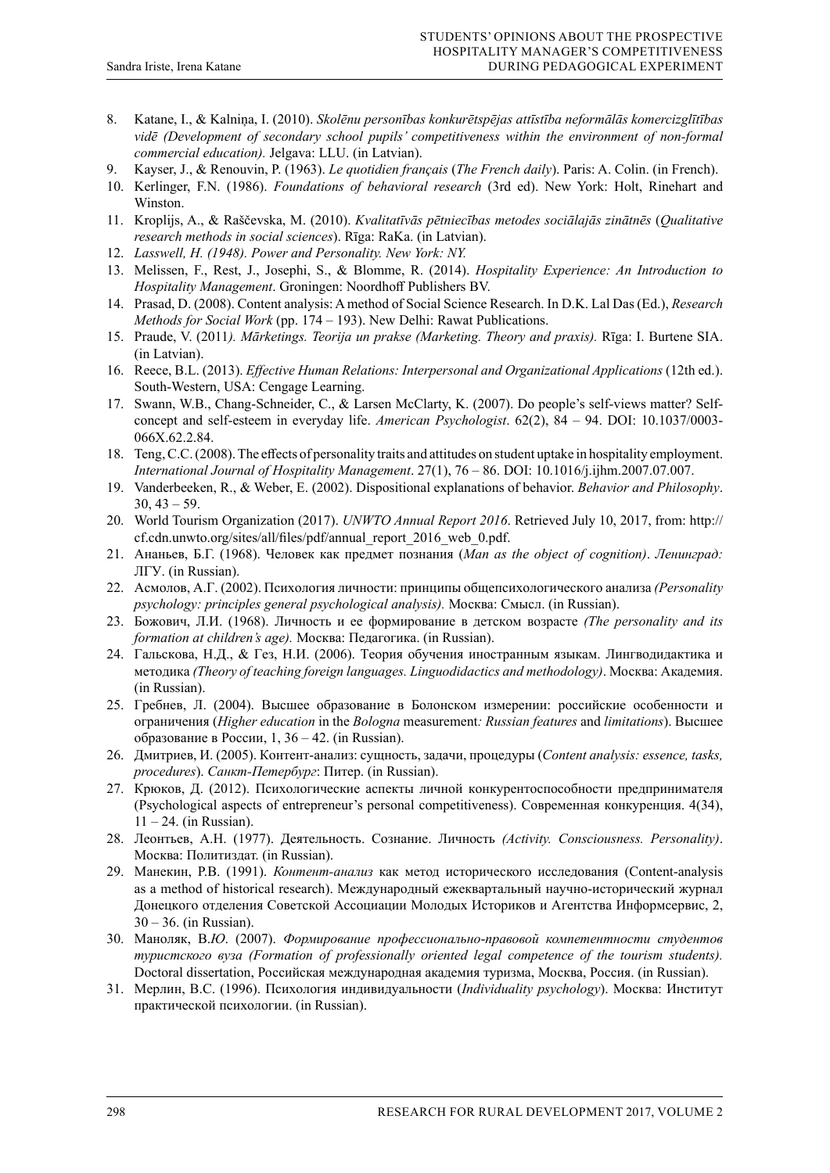- 8. Katane, I., & Kalniņa, I. (2010). *Skolēnu personības konkurētspējas attīstība neformālās komercizglītības vidē (Development of secondary school pupils' competitiveness within the environment of non-formal commercial education).* Jelgava: LLU. (in Latvian).
- 9. Kayser, J., & Renouvin, P. (1963). *Le quotidien français* (*The French daily*). Paris: A. Colin. (in French).
- 10. Kerlinger, F.N. (1986). *Foundations of behavioral research* (3rd ed). New York: Holt, Rinehart and Winston.
- 11. Kroplijs, A., & Raščevska, M. (2010). *Kvalitatīvās pētniecības metodes sociālajās zinātnēs* (*Qualitative research methods in social sciences*). Rīga: RaKa. (in Latvian).
- 12. *Lasswell, H. (1948). Power and Personality. New York: NY.*
- 13. Melissen, F., Rest, J., Josephi, S., & Blomme, R. (2014). *Hospitality Experience: An Introduction to Hospitality Management*. Groningen: Noordhoff Publishers BV.
- 14. Prasad, D. (2008). Content analysis: A method of Social Science Research. In D.K. Lal Das (Ed.), *Research Methods for Social Work* (pp. 174 – 193). New Delhi: Rawat Publications.
- 15. Praude, V. (2011*). Mārketings. Teorija un prakse (Marketing. Theory and praxis).* Rīga: I. Burtene SIA. (in Latvian).
- 16. Reece, B.L. (2013). *Effective Human Relations: Interpersonal and Organizational Applications* (12th ed.). South-Western, USA: Cengage Learning.
- 17. Swann, W.B., Chang-Schneider, C., & Larsen McClarty, K. (2007). Do people's self-views matter? Selfconcept and self-esteem in everyday life. *American Psychologist*. 62(2), 84 – 94. DOI: 10.1037/0003- 066X.62.2.84.
- 18. Teng, C.C. (2008). The effects of personality traits and attitudes on student uptake in hospitality employment. *International Journal of Hospitality Management*. 27(1), 76 – 86. DOI: 10.1016/j.ijhm.2007.07.007.
- 19. Vanderbeeken, R., & Weber, E. (2002). Dispositional explanations of behavior. *Behavior and Philosophy*.  $30, 43 - 59.$
- 20. World Tourism Organization (2017). *UNWTO Annual Report 2016*. Retrieved July 10, 2017, from: http:// cf.cdn.unwto.org/sites/all/files/pdf/annual\_report\_2016\_web\_0.pdf.
- 21. Ананьев, Б.Г. (1968). Человек как предмет познания (*Man as the object of cognition)*. *Ленинград:* ЛГУ. (in Russian).
- 22. Асмолов, А.Г. (2002). Психология личности: принципы общепсихологического анализа *(Personality psychology: principles general psychological analysis).* Москва: Смысл. (in Russian).
- 23. Божович, Л.И. (1968). Личность и ее формирование в детском возрасте *(The personality and its formation at children's age).* Москва: Педагогика. (in Russian).
- 24. Гальскова, Н.Д., & Гез, Н.И. (2006). Теория обучения иностранным языкам. Лингводидактика и методика *(Theory of teaching foreign languages. Linguodidactics and methodology)*. Москва: Академия. (in Russian).
- 25. Гребнев, Л. (2004). Высшее образование в Болонском измерении: российские особенности и ограничения (*Higher education* in the *Bologna* measurement*: Russian features* and *limitations*). Высшее образование в России, 1, 36 – 42. (in Russian).
- 26. Дмитриев, И. (2005). Контент-анализ: сущность, задачи, процедуры (*Content analysis: essence, tasks, procedures*). *Санкт-Петербург*: Питер. (in Russian).
- 27. Крюков, Д. (2012). Психологические аспекты личной конкурентоспособности предпринимателя (Psychological aspects of entrepreneur's personal competitiveness). Современная конкуренция. 4(34),  $11 - 24$ . (in Russian).
- 28. Леонтьев, А.Н. (1977). Деятельность. Сознание. Личность *(Activity. Consciousness. Personality)*. Москва: Политиздат. (in Russian).
- 29. Манекин, P.B. (1991). *Контент-анализ* как метод исторического исследования (Content-analysis as a method of historical research). Международный ежеквартальный научно-исторический журнал Донецкого отделения Советской Ассоциации Молодых Историков и Агентства Информсервис, 2, 30 – 36. (in Russian).
- 30. Маноляк, B.*Ю*. (2007). *Формирование профессионально*-*правовой компетентности студентов туристского вуза (Formation of professionally oriented legal competence of the tourism students).*  Doctoral dissertation, Российская международная академия туризма, Москва, Россия. (in Russian).
- 31. Мерлин, В.С. (1996). Психология индивидуальности (*Individuality psychology*). Москва: Институт практической психологии. (in Russian).